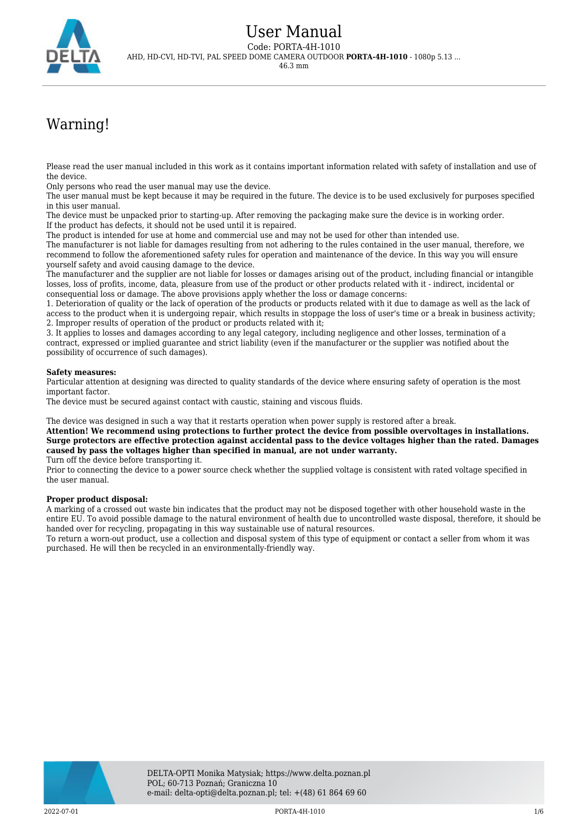

## Warning!

Please read the user manual included in this work as it contains important information related with safety of installation and use of the device.

Only persons who read the user manual may use the device.

The user manual must be kept because it may be required in the future. The device is to be used exclusively for purposes specified in this user manual.

The device must be unpacked prior to starting-up. After removing the packaging make sure the device is in working order. If the product has defects, it should not be used until it is repaired.

The product is intended for use at home and commercial use and may not be used for other than intended use.

The manufacturer is not liable for damages resulting from not adhering to the rules contained in the user manual, therefore, we recommend to follow the aforementioned safety rules for operation and maintenance of the device. In this way you will ensure yourself safety and avoid causing damage to the device.

The manufacturer and the supplier are not liable for losses or damages arising out of the product, including financial or intangible losses, loss of profits, income, data, pleasure from use of the product or other products related with it - indirect, incidental or consequential loss or damage. The above provisions apply whether the loss or damage concerns:

1. Deterioration of quality or the lack of operation of the products or products related with it due to damage as well as the lack of access to the product when it is undergoing repair, which results in stoppage the loss of user's time or a break in business activity; 2. Improper results of operation of the product or products related with it;

3. It applies to losses and damages according to any legal category, including negligence and other losses, termination of a contract, expressed or implied guarantee and strict liability (even if the manufacturer or the supplier was notified about the possibility of occurrence of such damages).

#### **Safety measures:**

Particular attention at designing was directed to quality standards of the device where ensuring safety of operation is the most important factor.

The device must be secured against contact with caustic, staining and viscous fluids.

The device was designed in such a way that it restarts operation when power supply is restored after a break.

**Attention! We recommend using protections to further protect the device from possible overvoltages in installations. Surge protectors are effective protection against accidental pass to the device voltages higher than the rated. Damages caused by pass the voltages higher than specified in manual, are not under warranty.** Turn off the device before transporting it.

Prior to connecting the device to a power source check whether the supplied voltage is consistent with rated voltage specified in the user manual.

#### **Proper product disposal:**

A marking of a crossed out waste bin indicates that the product may not be disposed together with other household waste in the entire EU. To avoid possible damage to the natural environment of health due to uncontrolled waste disposal, therefore, it should be handed over for recycling, propagating in this way sustainable use of natural resources.

To return a worn-out product, use a collection and disposal system of this type of equipment or contact a seller from whom it was purchased. He will then be recycled in an environmentally-friendly way.

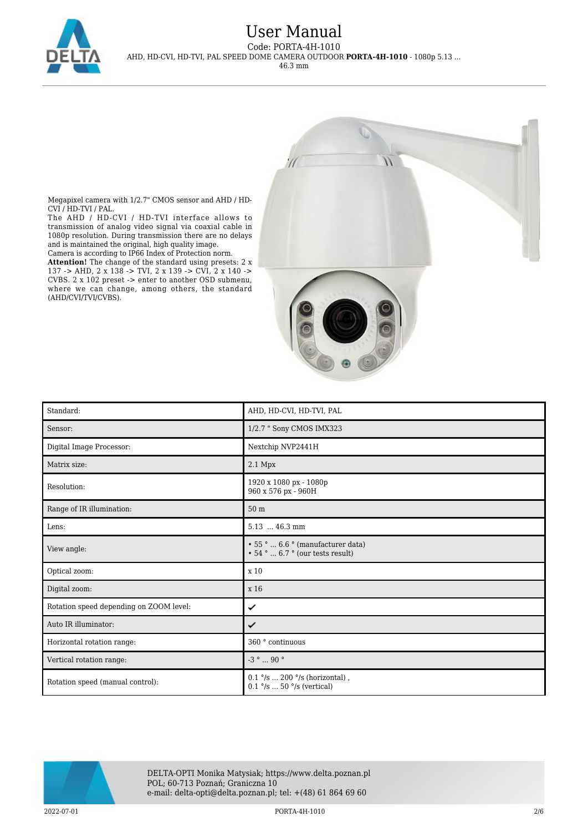

## User Manual

Code: PORTA-4H-1010 AHD, HD-CVI, HD-TVI, PAL SPEED DOME CAMERA OUTDOOR **PORTA-4H-1010** - 1080p 5.13 ...

46.3 mm





Megapixel camera with 1/2.7" CMOS sensor and AHD / HD-CVI / HD-TVI / PAL.

The AHD / HD-CVI / HD-TVI interface allows to transmission of analog video signal via coaxial cable in 1080p resolution. During transmission there are no delays and is maintained the original, high quality image. Camera is according to IP66 Index of Protection norm.

**Attention!** The change of the standard using presets: 2 x 137 -> AHD, 2 x 138 -> TVI, 2 x 139 -> CVI, 2 x 140 -> CVBS. 2 x 102 preset -> enter to another OSD submenu, where we can change, among others, the standard (AHD/CVI/TVI/CVBS).

| Standard:                               | AHD, HD-CVI, HD-TVI, PAL                                                           |
|-----------------------------------------|------------------------------------------------------------------------------------|
| Sensor:                                 | 1/2.7 " Sony CMOS IMX323                                                           |
| Digital Image Processor:                | Nextchip NVP2441H                                                                  |
| Matrix size:                            | 2.1 Mpx                                                                            |
| Resolution:                             | 1920 x 1080 px - 1080p<br>960 x 576 px - 960H                                      |
| Range of IR illumination:               | 50 m                                                                               |
| Lens:                                   | $5.13$ 46.3 mm                                                                     |
| View angle:                             | • 55°  6.6 ° (manufacturer data)<br>$\cdot$ 54 °  6.7 ° (our tests result)         |
| Optical zoom:                           | x 10                                                                               |
| Digital zoom:                           | x 16                                                                               |
| Rotation speed depending on ZOOM level: | ✓                                                                                  |
| Auto IR illuminator:                    | ✓                                                                                  |
| Horizontal rotation range:              | 360 ° continuous                                                                   |
| Vertical rotation range:                | -3 $^{\circ}$ $\ldots$ 90 $^{\circ}$                                               |
| Rotation speed (manual control):        | $0.1$ °/s  200 °/s (horizontal),<br>$0.1$ $\degree$ /s  50 $\degree$ /s (vertical) |

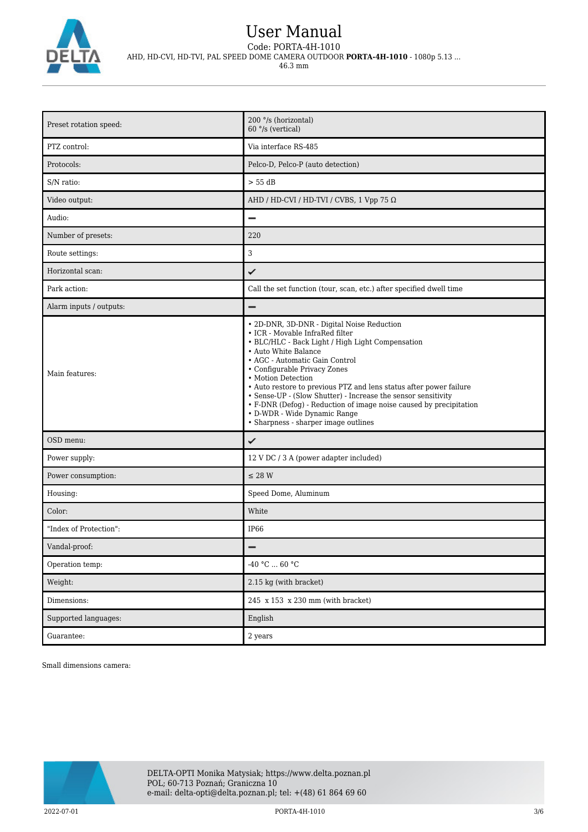

# User Manual

Code: PORTA-4H-1010 AHD, HD-CVI, HD-TVI, PAL SPEED DOME CAMERA OUTDOOR **PORTA-4H-1010** - 1080p 5.13 ...

46.3 mm

| Preset rotation speed:  | 200 °/s (horizontal)<br>60 °/s (vertical)                                                                                                                                                                                                                                                                                                                                                                                                                                                                                              |
|-------------------------|----------------------------------------------------------------------------------------------------------------------------------------------------------------------------------------------------------------------------------------------------------------------------------------------------------------------------------------------------------------------------------------------------------------------------------------------------------------------------------------------------------------------------------------|
| PTZ control:            | Via interface RS-485                                                                                                                                                                                                                                                                                                                                                                                                                                                                                                                   |
| Protocols:              | Pelco-D, Pelco-P (auto detection)                                                                                                                                                                                                                                                                                                                                                                                                                                                                                                      |
| S/N ratio:              | > 55 dB                                                                                                                                                                                                                                                                                                                                                                                                                                                                                                                                |
| Video output:           | AHD / HD-CVI / HD-TVI / CVBS, 1 Vpp 75 $\Omega$                                                                                                                                                                                                                                                                                                                                                                                                                                                                                        |
| Audio:                  | $\overline{\phantom{0}}$                                                                                                                                                                                                                                                                                                                                                                                                                                                                                                               |
| Number of presets:      | 220                                                                                                                                                                                                                                                                                                                                                                                                                                                                                                                                    |
| Route settings:         | 3                                                                                                                                                                                                                                                                                                                                                                                                                                                                                                                                      |
| Horizontal scan:        | ✓                                                                                                                                                                                                                                                                                                                                                                                                                                                                                                                                      |
| Park action:            | Call the set function (tour, scan, etc.) after specified dwell time                                                                                                                                                                                                                                                                                                                                                                                                                                                                    |
| Alarm inputs / outputs: |                                                                                                                                                                                                                                                                                                                                                                                                                                                                                                                                        |
| Main features:          | • 2D-DNR, 3D-DNR - Digital Noise Reduction<br>• ICR - Movable InfraRed filter<br>• BLC/HLC - Back Light / High Light Compensation<br>• Auto White Balance<br>• AGC - Automatic Gain Control<br>• Configurable Privacy Zones<br>• Motion Detection<br>• Auto restore to previous PTZ and lens status after power failure<br>• Sense-UP - (Slow Shutter) - Increase the sensor sensitivity<br>• F-DNR (Defog) - Reduction of image noise caused by precipitation<br>• D-WDR - Wide Dynamic Range<br>• Sharpness - sharper image outlines |
| OSD menu:               | ✓                                                                                                                                                                                                                                                                                                                                                                                                                                                                                                                                      |
| Power supply:           | 12 V DC / 3 A (power adapter included)                                                                                                                                                                                                                                                                                                                                                                                                                                                                                                 |
| Power consumption:      | $\leq$ 28 W                                                                                                                                                                                                                                                                                                                                                                                                                                                                                                                            |
| Housing:                | Speed Dome, Aluminum                                                                                                                                                                                                                                                                                                                                                                                                                                                                                                                   |
| Color:                  | White                                                                                                                                                                                                                                                                                                                                                                                                                                                                                                                                  |
| "Index of Protection":  | IP <sub>66</sub>                                                                                                                                                                                                                                                                                                                                                                                                                                                                                                                       |
| Vandal-proof:           |                                                                                                                                                                                                                                                                                                                                                                                                                                                                                                                                        |
| Operation temp:         | -40 °C $\ldots$ 60 °C                                                                                                                                                                                                                                                                                                                                                                                                                                                                                                                  |
| Weight:                 | 2.15 kg (with bracket)                                                                                                                                                                                                                                                                                                                                                                                                                                                                                                                 |
| Dimensions:             | 245 x 153 x 230 mm (with bracket)                                                                                                                                                                                                                                                                                                                                                                                                                                                                                                      |
| Supported languages:    | English                                                                                                                                                                                                                                                                                                                                                                                                                                                                                                                                |
| Guarantee:              | 2 years                                                                                                                                                                                                                                                                                                                                                                                                                                                                                                                                |

Small dimensions camera:

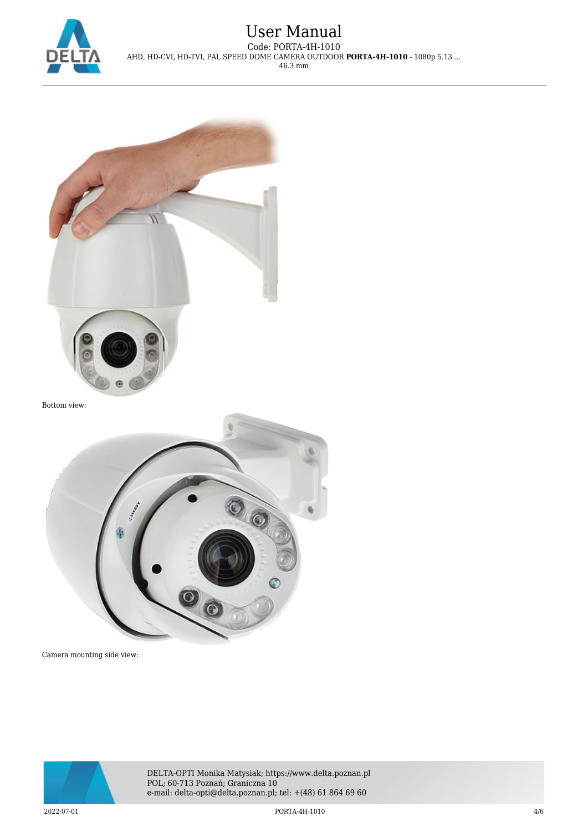

### User Manual Code: PORTA-4H-1010 AHD, HD-CVI, HD-TVI, PAL SPEED DOME CAMERA OUTDOOR **PORTA-4H-1010** - 1080p 5.13 ... 46.3 mm





Camera mounting side view:



DELTA-OPTI Monika Matysiak; https://www.delta.poznan.pl POL; 60-713 Poznań; Graniczna 10 e-mail: delta-opti@delta.poznan.pl; tel: +(48) 61 864 69 60

2022-07-01 PORTA-4H-1010 4/6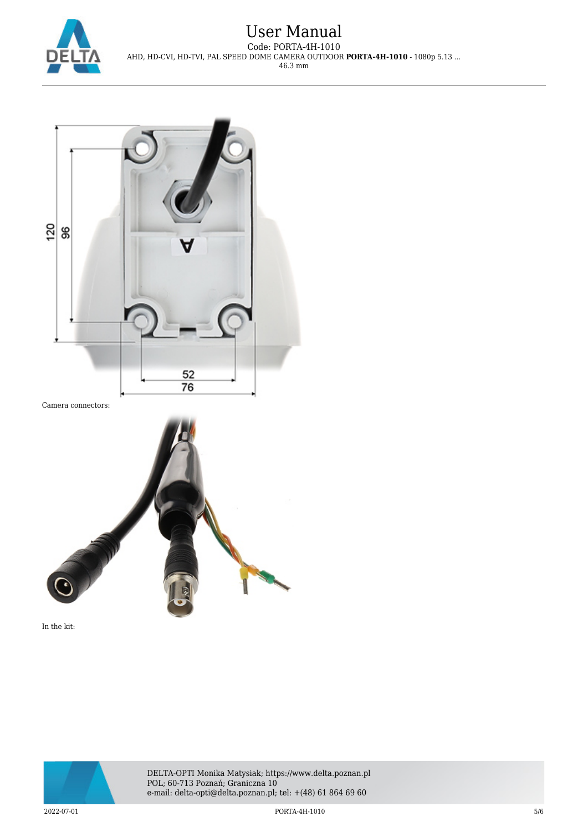

### User Manual Code: PORTA-4H-1010 AHD, HD-CVI, HD-TVI, PAL SPEED DOME CAMERA OUTDOOR **PORTA-4H-1010** - 1080p 5.13 ... 46.3 mm







DELTA-OPTI Monika Matysiak; https://www.delta.poznan.pl POL; 60-713 Poznań; Graniczna 10 e-mail: delta-opti@delta.poznan.pl; tel: +(48) 61 864 69 60

2022-07-01 PORTA-4H-1010 5/6